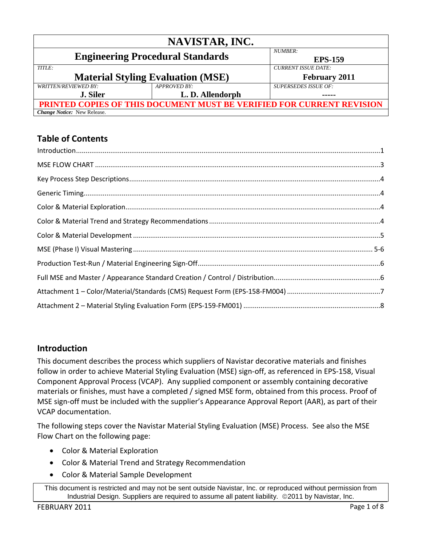|                                          | NAVISTAR, INC.                                                        |                             |
|------------------------------------------|-----------------------------------------------------------------------|-----------------------------|
|                                          | <b>Engineering Procedural Standards</b>                               | NUMBER:<br><b>EPS-159</b>   |
| TITLE:                                   |                                                                       | <b>CURRENT ISSUE DATE:</b>  |
| <b>Material Styling Evaluation (MSE)</b> |                                                                       | <b>February 2011</b>        |
| <b>WRITTEN/REVIEWED BY:</b>              | APPROVED BY:                                                          | <b>SUPERSEDES ISSUE OF:</b> |
| <b>J. Siler</b>                          | L.D. Allendorph                                                       |                             |
|                                          | PRINTED COPIES OF THIS DOCUMENT MUST BE VERIFIED FOR CURRENT REVISION |                             |
| <b>Change Notice:</b> New Release.       |                                                                       |                             |

# **Table of Contents**

## <span id="page-0-0"></span>**Introduction**

This document describes the process which suppliers of Navistar decorative materials and finishes follow in order to achieve Material Styling Evaluation (MSE) sign-off, as referenced in EPS-158, Visual Component Approval Process (VCAP). Any supplied component or assembly containing decorative materials or finishes, must have a completed / signed MSE form, obtained from this process. Proof of MSE sign-off must be included with the supplier's Appearance Approval Report (AAR), as part of their VCAP documentation.

The following steps cover the Navistar Material Styling Evaluation (MSE) Process. See also the MSE Flow Chart on the following page:

- Color & Material Exploration
- Color & Material Trend and Strategy Recommendation
- Color & Material Sample Development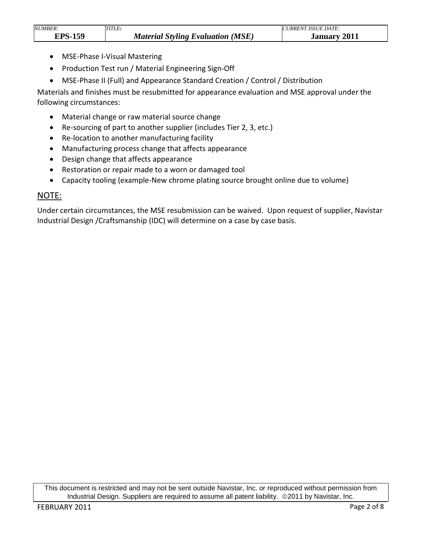| <b>NUMBER:</b> | .<br>TLE:                                            | DATE:<br><i><b>ISSUE</b></i><br>"IRRE.<br>$\sim$ |
|----------------|------------------------------------------------------|--------------------------------------------------|
| гdс<br>150     | (MSE)<br><b>Material</b><br>Styling Evaluation<br>ມເ | 2011<br><b>January</b>                           |

- MSE-Phase I-Visual Mastering
- Production Test run / Material Engineering Sign-Off
- MSE-Phase II (Full) and Appearance Standard Creation / Control / Distribution

Materials and finishes must be resubmitted for appearance evaluation and MSE approval under the following circumstances:

- Material change or raw material source change
- Re-sourcing of part to another supplier (includes Tier 2, 3, etc.)
- Re-location to another manufacturing facility
- Manufacturing process change that affects appearance
- Design change that affects appearance
- Restoration or repair made to a worn or damaged tool
- Capacity tooling (example-New chrome plating source brought online due to volume)

#### NOTE:

Under certain circumstances, the MSE resubmission can be waived. Upon request of supplier, Navistar Industrial Design /Craftsmanship (IDC) will determine on a case by case basis.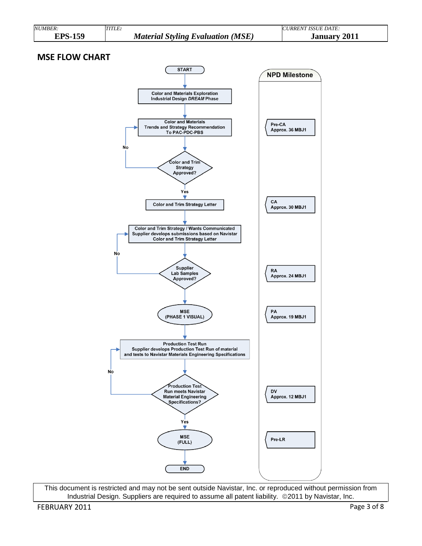<span id="page-2-0"></span>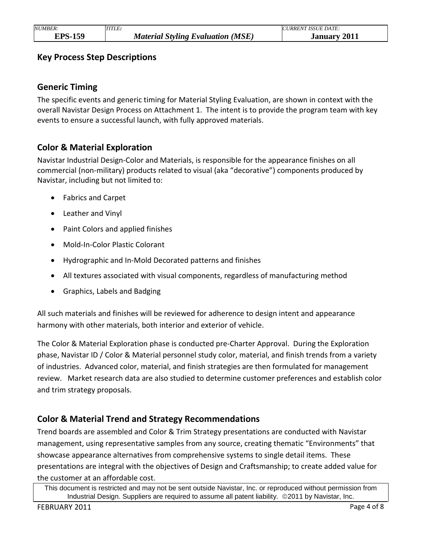### <span id="page-3-1"></span><span id="page-3-0"></span>**Key Process Step Descriptions**

#### **Generic Timing**

The specific events and generic timing for Material Styling Evaluation, are shown in context with the overall Navistar Design Process on Attachment 1. The intent is to provide the program team with key events to ensure a successful launch, with fully approved materials.

#### <span id="page-3-2"></span>**Color & Material Exploration**

Navistar Industrial Design-Color and Materials, is responsible for the appearance finishes on all commercial (non-military) products related to visual (aka "decorative") components produced by Navistar, including but not limited to:

- Fabrics and Carpet
- Leather and Vinyl
- Paint Colors and applied finishes
- Mold-In-Color Plastic Colorant
- Hydrographic and In-Mold Decorated patterns and finishes
- All textures associated with visual components, regardless of manufacturing method
- Graphics, Labels and Badging

All such materials and finishes will be reviewed for adherence to design intent and appearance harmony with other materials, both interior and exterior of vehicle.

The Color & Material Exploration phase is conducted pre-Charter Approval. During the Exploration phase, Navistar ID / Color & Material personnel study color, material, and finish trends from a variety of industries. Advanced color, material, and finish strategies are then formulated for management review. Market research data are also studied to determine customer preferences and establish color and trim strategy proposals.

## <span id="page-3-3"></span>**Color & Material Trend and Strategy Recommendations**

Trend boards are assembled and Color & Trim Strategy presentations are conducted with Navistar management, using representative samples from any source, creating thematic "Environments" that showcase appearance alternatives from comprehensive systems to single detail items. These presentations are integral with the objectives of Design and Craftsmanship; to create added value for the customer at an affordable cost.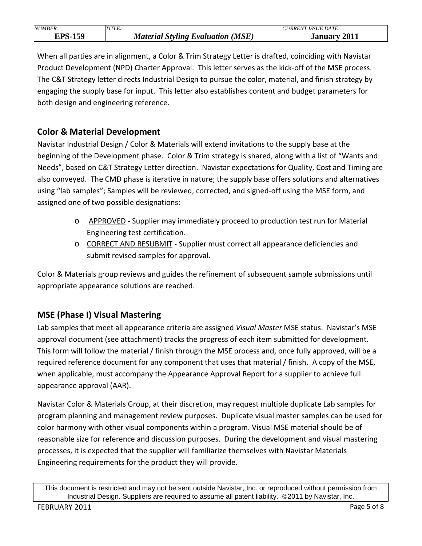| <i>NUMBER:</i> | <i>TITLE:</i>                            | URRENT ISSUE DATE:     |
|----------------|------------------------------------------|------------------------|
| 150<br>TPS.    | <b>Material Styling Evaluation (MSE)</b> | 2011<br><b>January</b> |

When all parties are in alignment, a Color & Trim Strategy Letter is drafted, coinciding with Navistar Product Development (NPD) Charter Approval. This letter serves as the kick-off of the MSE process. The C&T Strategy letter directs Industrial Design to pursue the color, material, and finish strategy by engaging the supply base for input. This letter also establishes content and budget parameters for both design and engineering reference.

## <span id="page-4-0"></span>**Color & Material Development**

Navistar Industrial Design / Color & Materials will extend invitations to the supply base at the beginning of the Development phase. Color & Trim strategy is shared, along with a list of "Wants and Needs", based on C&T Strategy Letter direction. Navistar expectations for Quality, Cost and Timing are also conveyed. The CMD phase is iterative in nature; the supply base offers solutions and alternatives using "lab samples"; Samples will be reviewed, corrected, and signed-off using the MSE form, and assigned one of two possible designations:

- o APPROVED Supplier may immediately proceed to production test run for Material Engineering test certification.
- o CORRECT AND RESUBMIT Supplier must correct all appearance deficiencies and submit revised samples for approval.

Color & Materials group reviews and guides the refinement of subsequent sample submissions until appropriate appearance solutions are reached.

## <span id="page-4-1"></span>**MSE (Phase I) Visual Mastering**

Lab samples that meet all appearance criteria are assigned *Visual Master* MSE status. Navistar's MSE approval document (see attachment) tracks the progress of each item submitted for development. This form will follow the material / finish through the MSE process and, once fully approved, will be a required reference document for any component that uses that material / finish. A copy of the MSE, when applicable, must accompany the Appearance Approval Report for a supplier to achieve full appearance approval (AAR).

Navistar Color & Materials Group, at their discretion, may request multiple duplicate Lab samples for program planning and management review purposes. Duplicate visual master samples can be used for color harmony with other visual components within a program. Visual MSE material should be of reasonable size for reference and discussion purposes. During the development and visual mastering processes, it is expected that the supplier will familiarize themselves with Navistar Materials Engineering requirements for the product they will provide.

This document is restricted and may not be sent outside Navistar, Inc. or reproduced without permission from Industrial Design. Suppliers are required to assume all patent liability. ©2011 by Navistar, Inc.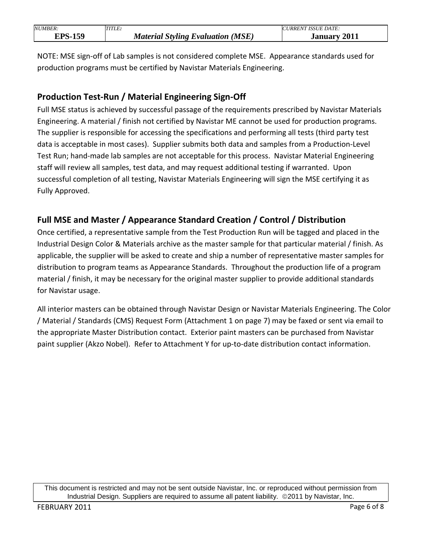| NUMBER: | TITLE:                                         | <b>ISSUE DATE:</b><br><i>JRREN'</i> |
|---------|------------------------------------------------|-------------------------------------|
| EΩ      | (MSE)<br>Material<br><b>Styling Evaluation</b> | 2011<br>anuary                      |

NOTE: MSE sign-off of Lab samples is not considered complete MSE. Appearance standards used for production programs must be certified by Navistar Materials Engineering.

## <span id="page-5-0"></span>**Production Test-Run / Material Engineering Sign-Off**

Full MSE status is achieved by successful passage of the requirements prescribed by Navistar Materials Engineering. A material / finish not certified by Navistar ME cannot be used for production programs. The supplier is responsible for accessing the specifications and performing all tests (third party test data is acceptable in most cases). Supplier submits both data and samples from a Production-Level Test Run; hand-made lab samples are not acceptable for this process. Navistar Material Engineering staff will review all samples, test data, and may request additional testing if warranted. Upon successful completion of all testing, Navistar Materials Engineering will sign the MSE certifying it as Fully Approved.

## <span id="page-5-1"></span>**Full MSE and Master / Appearance Standard Creation / Control / Distribution**

Once certified, a representative sample from the Test Production Run will be tagged and placed in the Industrial Design Color & Materials archive as the master sample for that particular material / finish. As applicable, the supplier will be asked to create and ship a number of representative master samples for distribution to program teams as Appearance Standards. Throughout the production life of a program material / finish, it may be necessary for the original master supplier to provide additional standards for Navistar usage.

All interior masters can be obtained through Navistar Design or Navistar Materials Engineering. The Color / Material / Standards (CMS) Request Form (Attachment 1 on page 7) may be faxed or sent via email to the appropriate Master Distribution contact. Exterior paint masters can be purchased from Navistar paint supplier (Akzo Nobel). Refer to Attachment Y for up-to-date distribution contact information.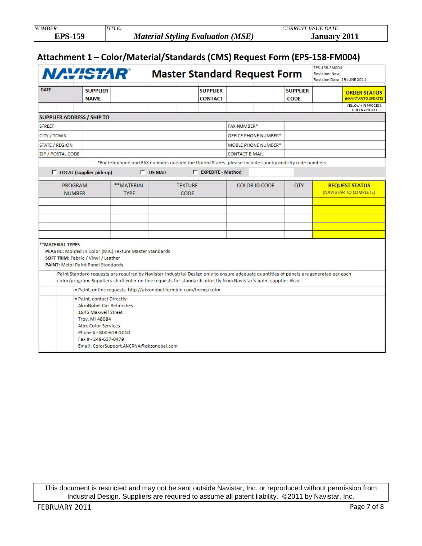<span id="page-6-0"></span>

| <b>NUMBER:</b>                                                                         |                                | TITLE:                                                                                                 |                                                                 |                               |                                   |                       |                                     |                                | <b>CURRENT ISSUE DATE:</b>                   |                                                 |
|----------------------------------------------------------------------------------------|--------------------------------|--------------------------------------------------------------------------------------------------------|-----------------------------------------------------------------|-------------------------------|-----------------------------------|-----------------------|-------------------------------------|--------------------------------|----------------------------------------------|-------------------------------------------------|
| <b>EPS-159</b>                                                                         |                                |                                                                                                        | <b>Material Styling Evaluation (MSE)</b><br><b>January 2011</b> |                               |                                   |                       |                                     |                                |                                              |                                                 |
| Attachment 1 - Color/Material/Standards (CMS) Request Form (EPS-158-FM004)<br>NAVISTAR |                                |                                                                                                        |                                                                 |                               |                                   |                       | <b>Master Standard Request Form</b> |                                | <b>EPS-158-FM004</b><br><b>Revision: New</b> |                                                 |
|                                                                                        |                                |                                                                                                        |                                                                 |                               |                                   |                       |                                     |                                | Revision Date: 29 JUNE 2011                  |                                                 |
| <b>DATE</b>                                                                            | <b>SUPPLIER</b><br><b>NAME</b> |                                                                                                        |                                                                 |                               | <b>SUPPLIER</b><br><b>CONTACT</b> |                       |                                     | <b>SUPPLIER</b><br><b>CODE</b> |                                              | <b>ORDER STATUS</b><br>(NAVISTAR TO UPDATE)     |
|                                                                                        |                                |                                                                                                        |                                                                 |                               |                                   |                       |                                     |                                |                                              | YELLOW = IN PROCESS<br><b>GREEN = FILLED</b>    |
| <b>SUPPLIER ADDRESS / SHIP TO</b>                                                      |                                |                                                                                                        |                                                                 |                               |                                   |                       |                                     |                                |                                              |                                                 |
| <b>STREET</b>                                                                          |                                |                                                                                                        |                                                                 |                               |                                   | <b>FAX NUMBER*</b>    |                                     |                                |                                              |                                                 |
| CITY / TOWN                                                                            |                                |                                                                                                        |                                                                 |                               |                                   |                       | OFFICE PHONE NUMBER*                |                                |                                              |                                                 |
| <b>STATE / REGION</b>                                                                  |                                |                                                                                                        |                                                                 |                               |                                   |                       | <b>MOBLE PHONE NUMBER*</b>          |                                |                                              |                                                 |
| <b>ZIP / POSTAL CODE</b>                                                               |                                |                                                                                                        |                                                                 |                               |                                   | <b>CONTACT E-MAIL</b> |                                     |                                |                                              |                                                 |
|                                                                                        |                                | *For telephone and FAX numbers outside the United States, please include country and city code numbers |                                                                 |                               |                                   |                       |                                     |                                |                                              |                                                 |
| □ LOCAL (supplier pick-up)                                                             |                                |                                                                                                        | $\Box$ US MAIL                                                  |                               | <b>EXPEDITE - Method</b>          |                       |                                     |                                |                                              |                                                 |
| <b>PROGRAM</b><br><b>NUMBER</b>                                                        |                                | **MATERIAL<br><b>TYPE</b>                                                                              |                                                                 | <b>TEXTURE</b><br><b>CODE</b> |                                   |                       | <b>COLOR ID CODE</b>                | QTY                            |                                              | <b>REQUEST STATUS</b><br>(NAVISTAR TO COMPLETE) |
|                                                                                        |                                |                                                                                                        |                                                                 |                               |                                   |                       |                                     |                                |                                              |                                                 |
|                                                                                        |                                |                                                                                                        |                                                                 |                               |                                   |                       |                                     |                                |                                              |                                                 |
|                                                                                        |                                |                                                                                                        |                                                                 |                               |                                   |                       |                                     |                                |                                              |                                                 |

\*\* MATERIAL TYPES

PLASTIC: Molded in Color (MIC) Texture Master Standards SOFT TRIM: Fabric / Vinyl / Leather **PAINT: Metal Paint Panel Standards** 

Paint Standard requests are required by Navistar Industrial Design only to ensure adequate quantities of panels are generated per each color/program. Suppliers shall enter on line requests for standards directly from Navistar's paint supplier Akzo.

. Paint online requests: http://akzonobel.formbin.com/forms/color

| • Paint, online requests: http://akzonoper.formpin.com/forms/color |
|--------------------------------------------------------------------|
| . Paint, contact Directly:                                         |
| AkzoNobel Car Refinishes                                           |
| 1845 Maxwell Street                                                |
| Troy, MI 48084                                                     |
| Attn: Color Services                                               |
| Phone # - 800-618-1010                                             |
| Fax # - 248-637-0479                                               |
| Email: ColorSupport.ANCRNA@akzonobel.com                           |
|                                                                    |